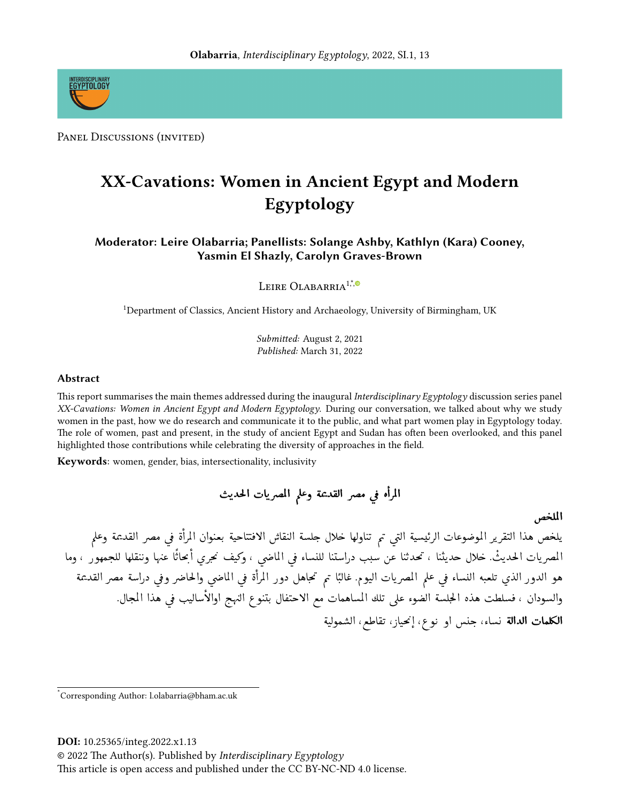

PANEL DISCUSSIONS (INVITED)

# XX-Cavations: Women in Ancient Egypt and Modern Egyptology

Moderator: Leire Olabarria; Panellists: Solange Ashby, Kathlyn (Kara) Cooney, Yasmin El Shazly, Carolyn Graves-Brown

LEIRE OLABARRIA<sup>1,<sup>\*</sup>,<sup>®</sup></sup>

<sup>1</sup>Department of Classics, Ancient History and Archaeology, University of Birmingham, UK

Submitted: August 2, 2021 Published: March 31, 2022

## Abstract

This report summarises the main themes addressed during the inaugural Interdisciplinary Egyptology discussion series panel XX-Cavations: Women in Ancient Egypt and Modern Egyptology. During our conversation, we talked about why we study women in the past, how we do research and communicate it to the public, and what part women play in Egyptology today. The role of women, past and present, in the study of ancient Egypt and Sudan has often been overlooked, and this panel highlighted those contributions while celebrating the diversity of approaches in the field.

Keywords: women, gender, bias, intersectionality, inclusivity

المرأه في مصر القديمة وعلم المصريات الحديث

الملخص

يلخص هذا التقرير الموضوعات الرئيسية التى تم تناولها خلال جلسة النقاش الافتتاحية بعنوان المرأة فى مصر القديمة وعلم المصريات الحديثْ. خلال حديثنا ، تحدثنا عن سبب دراستنا للنساء في الماضي ، وكيف نحري أبحاثًا عنها وننقلها للجمهور ، وما هو الدور الذي تلعبه النساء في علم المصريات اليوم. غالبًا تم تحاهل دور المرأة في الماضي والحاضر وفي دراسة مصر القديمة والسودان ، فسلطت هذه الجلسة الضوء على تلك المساهمات مع الاحتفال بتنوع النهج اوالأساليب في هذا المجال. الكلمات الدالة نساء، جنس او نوع، إنحياز، تقاطع، الشمولية

DOI: 10.25365/integ.2022.x1.13

© 2022 The Author(s). Published by Interdisciplinary Egyptology

This article is open access and published under the CC BY-NC-ND 4.0 license.

<sup>\*</sup>Corresponding Author: l.olabarria@bham.ac.uk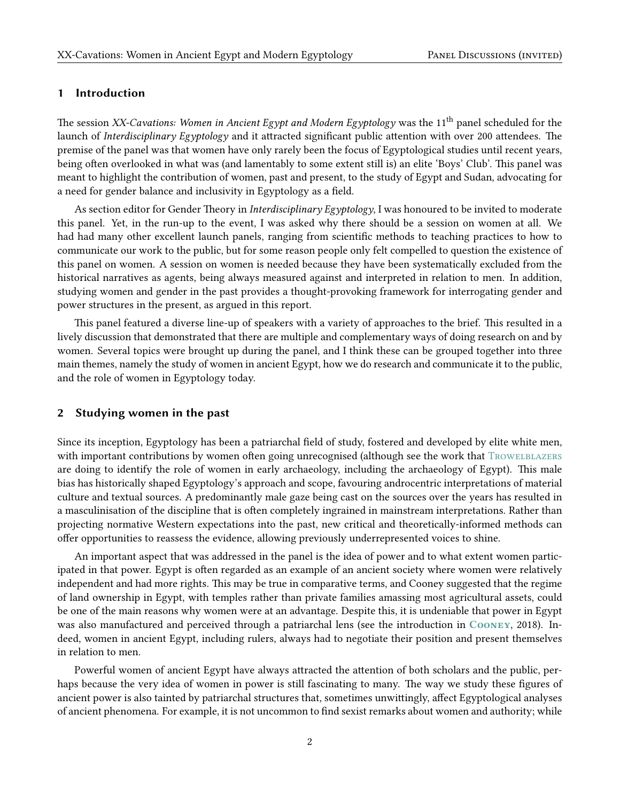### 1 Introduction

The session XX-Cavations: Women in Ancient Egypt and Modern Egyptology was the 11<sup>th</sup> panel scheduled for the launch of *Interdisciplinary Egyptology* and it attracted significant public attention with over 200 attendees. The premise of the panel was that women have only rarely been the focus of Egyptological studies until recent years, being often overlooked in what was (and lamentably to some extent still is) an elite 'Boys' Club'. This panel was meant to highlight the contribution of women, past and present, to the study of Egypt and Sudan, advocating for a need for gender balance and inclusivity in Egyptology as a field.

As section editor for Gender Theory in *Interdisciplinary Egyptology*, I was honoured to be invited to moderate this panel. Yet, in the run-up to the event, I was asked why there should be a session on women at all. We had had many other excellent launch panels, ranging from scientific methods to teaching practices to how to communicate our work to the public, but for some reason people only felt compelled to question the existence of this panel on women. A session on women is needed because they have been systematically excluded from the historical narratives as agents, being always measured against and interpreted in relation to men. In addition, studying women and gender in the past provides a thought-provoking framework for interrogating gender and power structures in the present, as argued in this report.

This panel featured a diverse line-up of speakers with a variety of approaches to the brief. This resulted in a lively discussion that demonstrated that there are multiple and complementary ways of doing research on and by women. Several topics were brought up during the panel, and I think these can be grouped together into three main themes, namely the study of women in ancient Egypt, how we do research and communicate it to the public, and the role of women in Egyptology today.

### 2 Studying women in the past

Since its inception, Egyptology has been a patriarchal field of study, fostered and developed by elite white men, with important contributions by women often going unrecognised (although see the work that TROWELBLAZERS are doing to identify the role of women in early archaeology, including the archaeology of Egypt). This male bias has historically shaped Egyptology's approach and scope, favouring androcentric interpretations of material culture and textual sources. A predominantly male gaze being cast on the sources over the years has resulted in a masculinisation of the discipline that is often completely ingrained in mainstream interpretations. Rather than projecting normative Western expectations into the past, new critical and theoretically-informed methods can offer opportunities to reassess the evidence, allowing previously underrepresented voices to shine.

An important aspect that was addressed in the panel is the idea of power and to what extent women participated in that power. Egypt is often regarded as an example of an ancient society where women were relatively independent and had more rights. This may be true in comparative terms, and Cooney suggested that the regime of land ownership in Egypt, with temples rather than private families amassing most agricultural assets, could be one of the main reasons why women were at an advantage. Despite this, it is undeniable that power in Egypt was also manufactured and perceived through a patriarchal lens (see the introduction in COONEY, [2018\)](#page-4-0). Indeed, women in ancient Egypt, including rulers, always had to negotiate their position and present themselves in relation to men.

Powerful women of ancient Egypt have always attracted the attention of both scholars and the public, perhaps because the very idea of women in power is still fascinating to many. The way we study these figures of ancient power is also tainted by patriarchal structures that, sometimes unwittingly, affect Egyptological analyses of ancient phenomena. For example, it is not uncommon to find sexist remarks about women and authority; while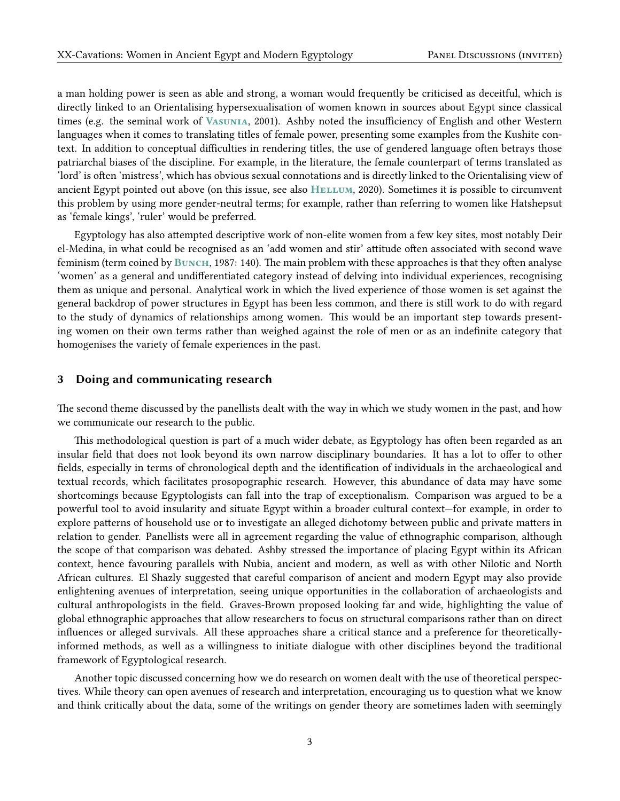a man holding power is seen as able and strong, a woman would frequently be criticised as deceitful, which is directly linked to an Orientalising hypersexualisation of women known in sources about Egypt since classical times (e.g. the seminal work of Vasunia, [2001\)](#page-4-1). Ashby noted the insufficiency of English and other Western languages when it comes to translating titles of female power, presenting some examples from the Kushite context. In addition to conceptual difficulties in rendering titles, the use of gendered language often betrays those patriarchal biases of the discipline. For example, in the literature, the female counterpart of terms translated as 'lord' is often 'mistress', which has obvious sexual connotations and is directly linked to the Orientalising view of ancient Egypt pointed out above (on this issue, see also HELLUM, [2020\)](#page-4-2). Sometimes it is possible to circumvent this problem by using more gender-neutral terms; for example, rather than referring to women like Hatshepsut as 'female kings', 'ruler' would be preferred.

Egyptology has also attempted descriptive work of non-elite women from a few key sites, most notably Deir el-Medina, in what could be recognised as an 'add women and stir' attitude often associated with second wave feminism (term coined by Bunch, [1987:](#page-4-3) 140). The main problem with these approaches is that they often analyse 'women' as a general and undifferentiated category instead of delving into individual experiences, recognising them as unique and personal. Analytical work in which the lived experience of those women is set against the general backdrop of power structures in Egypt has been less common, and there is still work to do with regard to the study of dynamics of relationships among women. This would be an important step towards presenting women on their own terms rather than weighed against the role of men or as an indefinite category that homogenises the variety of female experiences in the past.

#### 3 Doing and communicating research

The second theme discussed by the panellists dealt with the way in which we study women in the past, and how we communicate our research to the public.

This methodological question is part of a much wider debate, as Egyptology has often been regarded as an insular field that does not look beyond its own narrow disciplinary boundaries. It has a lot to offer to other fields, especially in terms of chronological depth and the identification of individuals in the archaeological and textual records, which facilitates prosopographic research. However, this abundance of data may have some shortcomings because Egyptologists can fall into the trap of exceptionalism. Comparison was argued to be a powerful tool to avoid insularity and situate Egypt within a broader cultural context—for example, in order to explore patterns of household use or to investigate an alleged dichotomy between public and private matters in relation to gender. Panellists were all in agreement regarding the value of ethnographic comparison, although the scope of that comparison was debated. Ashby stressed the importance of placing Egypt within its African context, hence favouring parallels with Nubia, ancient and modern, as well as with other Nilotic and North African cultures. El Shazly suggested that careful comparison of ancient and modern Egypt may also provide enlightening avenues of interpretation, seeing unique opportunities in the collaboration of archaeologists and cultural anthropologists in the field. Graves-Brown proposed looking far and wide, highlighting the value of global ethnographic approaches that allow researchers to focus on structural comparisons rather than on direct influences or alleged survivals. All these approaches share a critical stance and a preference for theoreticallyinformed methods, as well as a willingness to initiate dialogue with other disciplines beyond the traditional framework of Egyptological research.

Another topic discussed concerning how we do research on women dealt with the use of theoretical perspectives. While theory can open avenues of research and interpretation, encouraging us to question what we know and think critically about the data, some of the writings on gender theory are sometimes laden with seemingly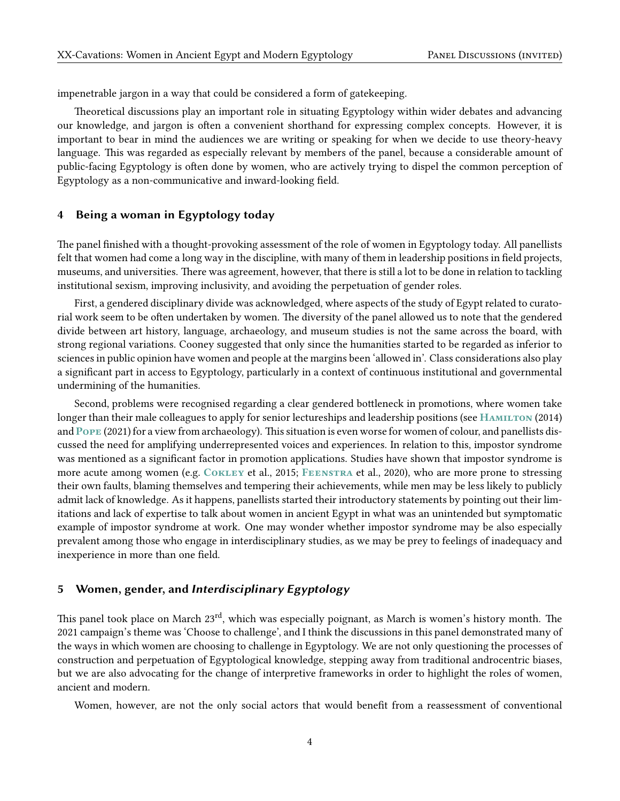impenetrable jargon in a way that could be considered a form of gatekeeping.

Theoretical discussions play an important role in situating Egyptology within wider debates and advancing our knowledge, and jargon is often a convenient shorthand for expressing complex concepts. However, it is important to bear in mind the audiences we are writing or speaking for when we decide to use theory-heavy language. This was regarded as especially relevant by members of the panel, because a considerable amount of public-facing Egyptology is often done by women, who are actively trying to dispel the common perception of Egyptology as a non-communicative and inward-looking field.

## 4 Being a woman in Egyptology today

The panel finished with a thought-provoking assessment of the role of women in Egyptology today. All panellists felt that women had come a long way in the discipline, with many of them in leadership positions in field projects, museums, and universities. There was agreement, however, that there is still a lot to be done in relation to tackling institutional sexism, improving inclusivity, and avoiding the perpetuation of gender roles.

First, a gendered disciplinary divide was acknowledged, where aspects of the study of Egypt related to curatorial work seem to be often undertaken by women. The diversity of the panel allowed us to note that the gendered divide between art history, language, archaeology, and museum studies is not the same across the board, with strong regional variations. Cooney suggested that only since the humanities started to be regarded as inferior to sciences in public opinion have women and people at the margins been 'allowed in'. Class considerations also play a significant part in access to Egyptology, particularly in a context of continuous institutional and governmental undermining of the humanities.

Second, problems were recognised regarding a clear gendered bottleneck in promotions, where women take longer than their male colleagues to apply for senior lectureships and leadership positions (see HAMILTON [\(2014\)](#page-4-4) and Pope [\(2021\)](#page-4-5) for a view from archaeology). This situation is even worse for women of colour, and panellists discussed the need for amplifying underrepresented voices and experiences. In relation to this, impostor syndrome was mentioned as a significant factor in promotion applications. Studies have shown that impostor syndrome is more acute among women (e.g. Cokley et al., [2015;](#page-4-6) Feenstra et al., [2020\)](#page-4-7), who are more prone to stressing their own faults, blaming themselves and tempering their achievements, while men may be less likely to publicly admit lack of knowledge. As it happens, panellists started their introductory statements by pointing out their limitations and lack of expertise to talk about women in ancient Egypt in what was an unintended but symptomatic example of impostor syndrome at work. One may wonder whether impostor syndrome may be also especially prevalent among those who engage in interdisciplinary studies, as we may be prey to feelings of inadequacy and inexperience in more than one field.

## 5 Women, gender, and Interdisciplinary Egyptology

This panel took place on March 23rd, which was especially poignant, as March is women's history month. The 2021 campaign's theme was 'Choose to challenge', and I think the discussions in this panel demonstrated many of the ways in which women are choosing to challenge in Egyptology. We are not only questioning the processes of construction and perpetuation of Egyptological knowledge, stepping away from traditional androcentric biases, but we are also advocating for the change of interpretive frameworks in order to highlight the roles of women, ancient and modern.

Women, however, are not the only social actors that would benefit from a reassessment of conventional